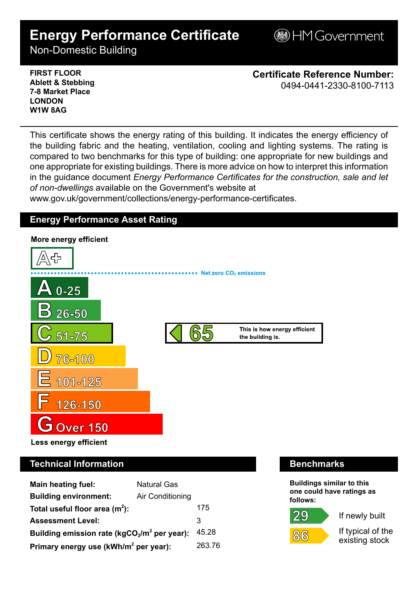# **Energy Performance Certificate**

**BHM Government** 

Non-Domestic Building

**FIRST FLOOR Ablett & Stebbing 7-8 Market Place LONDON W1W 8AG**

**Certificate Reference Number:** 0494-0441-2330-8100-7113

This certificate shows the energy rating of this building. It indicates the energy efficiency of the building fabric and the heating, ventilation, cooling and lighting systems. The rating is compared to two benchmarks for this type of building: one appropriate for new buildings and one appropriate for existing buildings. There is more advice on how to interpret this information in the guidance document *Energy Performance Certificates for the construction, sale and let of non-dwellings* available on the Government's website at

www.gov.uk/government/collections/energy-performance-certificates.

## **Energy Performance Asset Rating**



# **Technical Information Benchmarks**

| <b>Main heating fuel:</b>                         | <b>Natural Gas</b> |        |
|---------------------------------------------------|--------------------|--------|
| <b>Building environment:</b>                      | Air Conditioning   |        |
| Total useful floor area $(m2)$ :                  |                    | 175    |
| <b>Assessment Level:</b>                          |                    | 3      |
| Building emission rate ( $kgCO2/m2$ per year):    |                    | 45.28  |
| Primary energy use (kWh/m <sup>2</sup> per year): |                    | 263.76 |

**Buildings similar to this one could have ratings as follows:**





If newly built

If typical of the existing stock